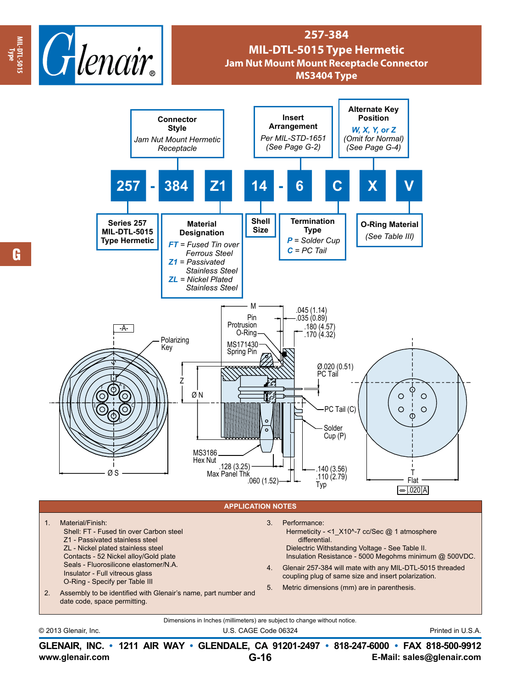

## **257-384 MIL-DTL-5015 Type Hermetic Jam Nut Mount Mount Receptacle Connector MS3404 Type**



**www.glenair.com E-Mail: sales@glenair.com GLENAIR, INC. • 1211 AIR WAY • GLENDALE, CA 91201-2497 • 818-247-6000 • FAX 818-500-9912 G-16**